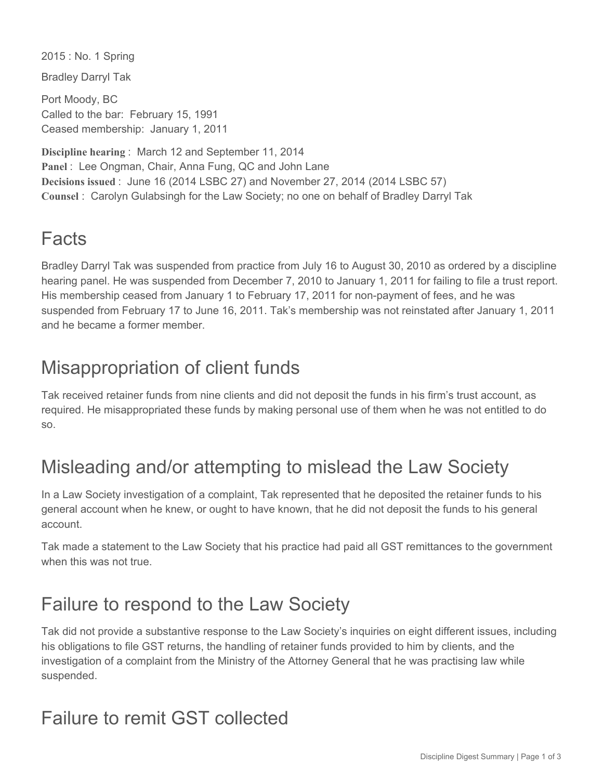2015 : No. 1 Spring

Bradley Darryl Tak

Port Moody, BC Called to the bar: February 15, 1991 Ceased membership: January 1, 2011

**Discipline hearing** : March 12 and September 11, 2014 **Panel** : Lee Ongman, Chair, Anna Fung, QC and John Lane **Decisions issued** : June 16 (2014 LSBC 27) and November 27, 2014 (2014 LSBC 57) **Counsel** : Carolyn Gulabsingh for the Law Society; no one on behalf of Bradley Darryl Tak

## Facts

Bradley Darryl Tak was suspended from practice from July 16 to August 30, 2010 as ordered by a discipline hearing panel. He was suspended from December 7, 2010 to January 1, 2011 for failing to file a trust report. His membership ceased from January 1 to February 17, 2011 for non-payment of fees, and he was suspended from February 17 to June 16, 2011. Tak's membership was not reinstated after January 1, 2011 and he became a former member.

### Misappropriation of client funds

Tak received retainer funds from nine clients and did not deposit the funds in his firm's trust account, as required. He misappropriated these funds by making personal use of them when he was not entitled to do so.

## Misleading and/or attempting to mislead the Law Society

In a Law Society investigation of a complaint, Tak represented that he deposited the retainer funds to his general account when he knew, or ought to have known, that he did not deposit the funds to his general account.

Tak made a statement to the Law Society that his practice had paid all GST remittances to the government when this was not true.

#### Failure to respond to the Law Society

Tak did not provide a substantive response to the Law Society's inquiries on eight different issues, including his obligations to file GST returns, the handling of retainer funds provided to him by clients, and the investigation of a complaint from the Ministry of the Attorney General that he was practising law while suspended.

#### Failure to remit GST collected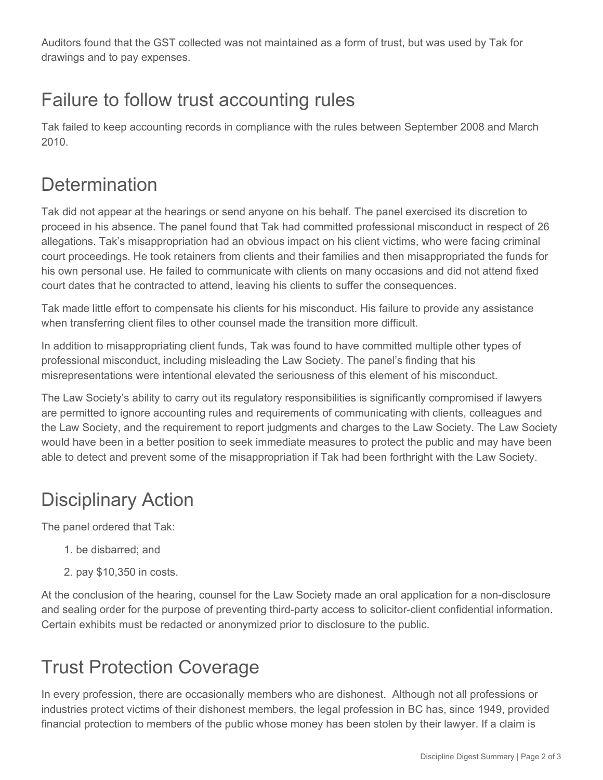Auditors found that the GST collected was not maintained as a form of trust, but was used by Tak for drawings and to pay expenses.

# Failure to follow trust accounting rules

Tak failed to keep accounting records in compliance with the rules between September 2008 and March 2010.

### **Determination**

Tak did not appear at the hearings or send anyone on his behalf. The panel exercised its discretion to proceed in his absence. The panel found that Tak had committed professional misconduct in respect of 26 allegations. Tak's misappropriation had an obvious impact on his client victims, who were facing criminal court proceedings. He took retainers from clients and their families and then misappropriated the funds for his own personal use. He failed to communicate with clients on many occasions and did not attend fixed court dates that he contracted to attend, leaving his clients to suffer the consequences.

Tak made little effort to compensate his clients for his misconduct. His failure to provide any assistance when transferring client files to other counsel made the transition more difficult.

In addition to misappropriating client funds, Tak was found to have committed multiple other types of professional misconduct, including misleading the Law Society. The panel's finding that his misrepresentations were intentional elevated the seriousness of this element of his misconduct.

The Law Society's ability to carry out its regulatory responsibilities is significantly compromised if lawyers are permitted to ignore accounting rules and requirements of communicating with clients, colleagues and the Law Society, and the requirement to report judgments and charges to the Law Society. The Law Society would have been in a better position to seek immediate measures to protect the public and may have been able to detect and prevent some of the misappropriation if Tak had been forthright with the Law Society.

# Disciplinary Action

The panel ordered that Tak:

- 1. be disbarred; and
- 2. pay \$10,350 in costs.

At the conclusion of the hearing, counsel for the Law Society made an oral application for a non-disclosure and sealing order for the purpose of preventing third-party access to solicitor-client confidential information. Certain exhibits must be redacted or anonymized prior to disclosure to the public.

# Trust Protection Coverage

In every profession, there are occasionally members who are dishonest. Although not all professions or industries protect victims of their dishonest members, the legal profession in BC has, since 1949, provided financial protection to members of the public whose money has been stolen by their lawyer. If a claim is